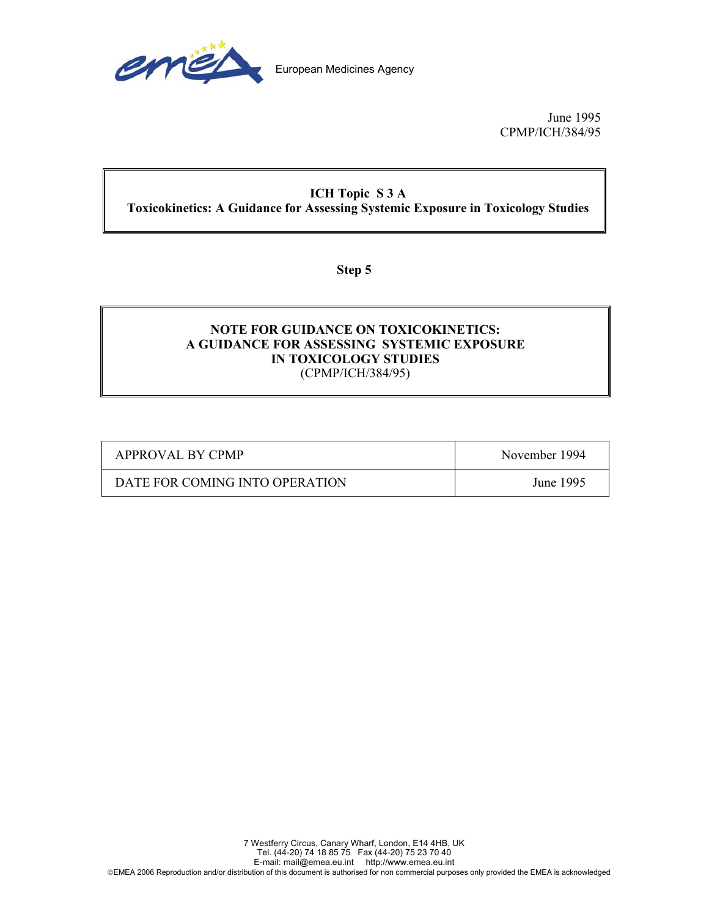

June 1995 CPMP/ICH/384/95

# **ICH Topic S 3 A**

**Toxicokinetics: A Guidance for Assessing Systemic Exposure in Toxicology Studies** 

**Step 5**

### **NOTE FOR GUIDANCE ON TOXICOKINETICS: A GUIDANCE FOR ASSESSING SYSTEMIC EXPOSURE IN TOXICOLOGY STUDIES**  (CPMP/ICH/384/95)

| APPROVAL BY CPMP               | November 1994 |
|--------------------------------|---------------|
| DATE FOR COMING INTO OPERATION | June 1995     |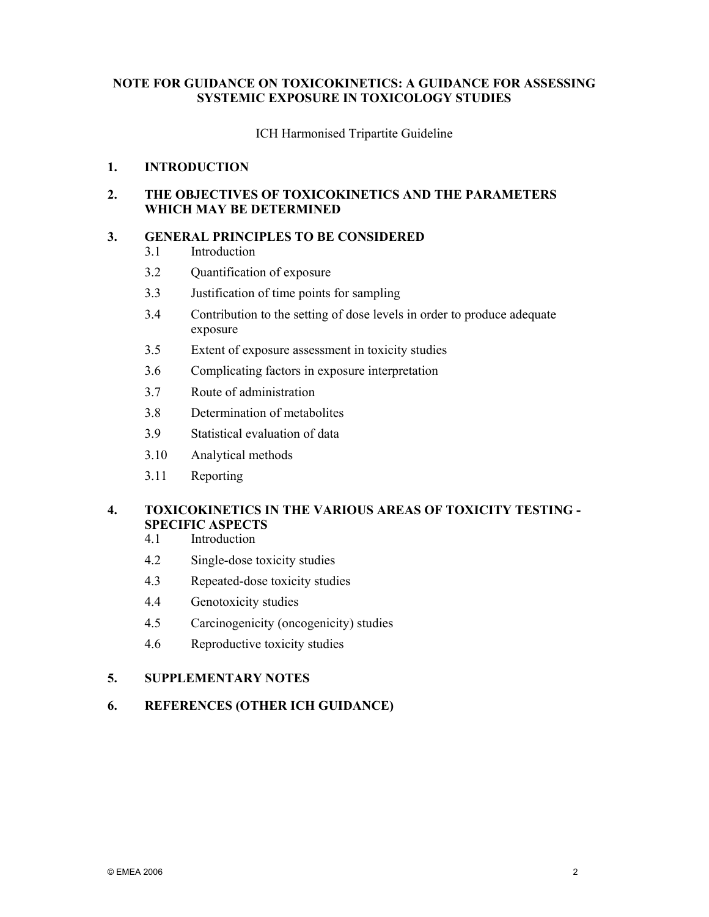### **NOTE FOR GUIDANCE ON TOXICOKINETICS: A GUIDANCE FOR ASSESSING SYSTEMIC EXPOSURE IN TOXICOLOGY STUDIES**

ICH Harmonised Tripartite Guideline

#### **1. INTRODUCTION**

### **2. THE OBJECTIVES OF TOXICOKINETICS AND THE PARAMETERS WHICH MAY BE DETERMINED**

#### **3. GENERAL PRINCIPLES TO BE CONSIDERED**

- 3.1 Introduction
- 3.2 Quantification of exposure
- 3.3 Justification of time points for sampling
- 3.4 Contribution to the setting of dose levels in order to produce adequate exposure
- 3.5 Extent of exposure assessment in toxicity studies
- 3.6 Complicating factors in exposure interpretation
- 3.7 Route of administration
- 3.8 Determination of metabolites
- 3.9 Statistical evaluation of data
- 3.10 Analytical methods
- 3.11 Reporting

### **4. TOXICOKINETICS IN THE VARIOUS AREAS OF TOXICITY TESTING - SPECIFIC ASPECTS**

- 4.1 Introduction
- 4.2 Single-dose toxicity studies
- 4.3 Repeated-dose toxicity studies
- 4.4 Genotoxicity studies
- 4.5 Carcinogenicity (oncogenicity) studies
- 4.6 Reproductive toxicity studies

### **5. SUPPLEMENTARY NOTES**

#### **6. REFERENCES (OTHER ICH GUIDANCE)**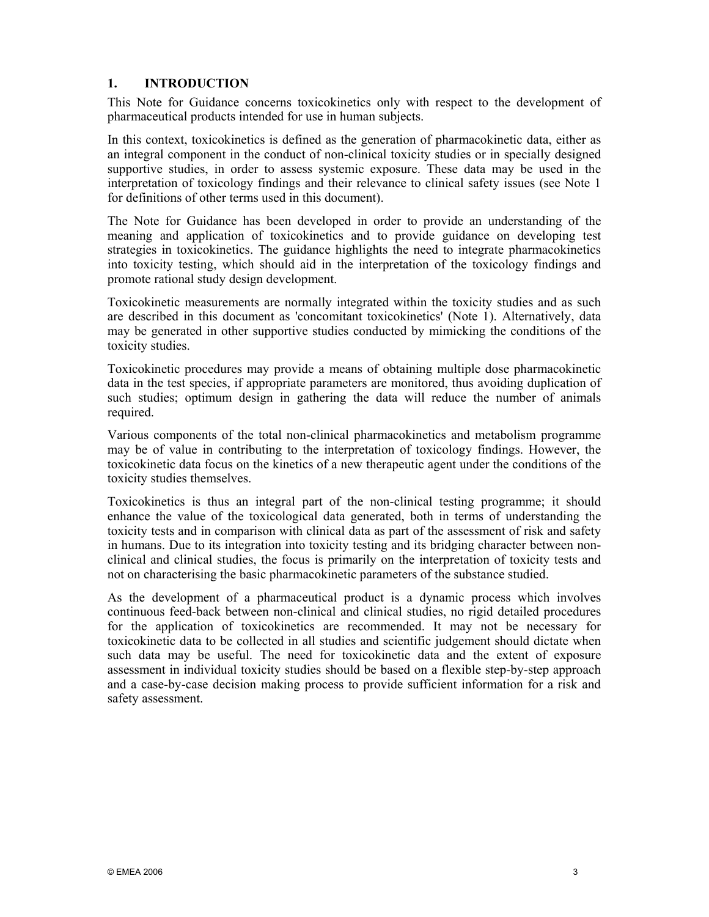#### **1. INTRODUCTION**

This Note for Guidance concerns toxicokinetics only with respect to the development of pharmaceutical products intended for use in human subjects.

In this context, toxicokinetics is defined as the generation of pharmacokinetic data, either as an integral component in the conduct of non-clinical toxicity studies or in specially designed supportive studies, in order to assess systemic exposure. These data may be used in the interpretation of toxicology findings and their relevance to clinical safety issues (see Note 1 for definitions of other terms used in this document).

The Note for Guidance has been developed in order to provide an understanding of the meaning and application of toxicokinetics and to provide guidance on developing test strategies in toxicokinetics. The guidance highlights the need to integrate pharmacokinetics into toxicity testing, which should aid in the interpretation of the toxicology findings and promote rational study design development.

Toxicokinetic measurements are normally integrated within the toxicity studies and as such are described in this document as 'concomitant toxicokinetics' (Note 1). Alternatively, data may be generated in other supportive studies conducted by mimicking the conditions of the toxicity studies.

Toxicokinetic procedures may provide a means of obtaining multiple dose pharmacokinetic data in the test species, if appropriate parameters are monitored, thus avoiding duplication of such studies; optimum design in gathering the data will reduce the number of animals required.

Various components of the total non-clinical pharmacokinetics and metabolism programme may be of value in contributing to the interpretation of toxicology findings. However, the toxicokinetic data focus on the kinetics of a new therapeutic agent under the conditions of the toxicity studies themselves.

Toxicokinetics is thus an integral part of the non-clinical testing programme; it should enhance the value of the toxicological data generated, both in terms of understanding the toxicity tests and in comparison with clinical data as part of the assessment of risk and safety in humans. Due to its integration into toxicity testing and its bridging character between nonclinical and clinical studies, the focus is primarily on the interpretation of toxicity tests and not on characterising the basic pharmacokinetic parameters of the substance studied.

As the development of a pharmaceutical product is a dynamic process which involves continuous feed-back between non-clinical and clinical studies, no rigid detailed procedures for the application of toxicokinetics are recommended. It may not be necessary for toxicokinetic data to be collected in all studies and scientific judgement should dictate when such data may be useful. The need for toxicokinetic data and the extent of exposure assessment in individual toxicity studies should be based on a flexible step-by-step approach and a case-by-case decision making process to provide sufficient information for a risk and safety assessment.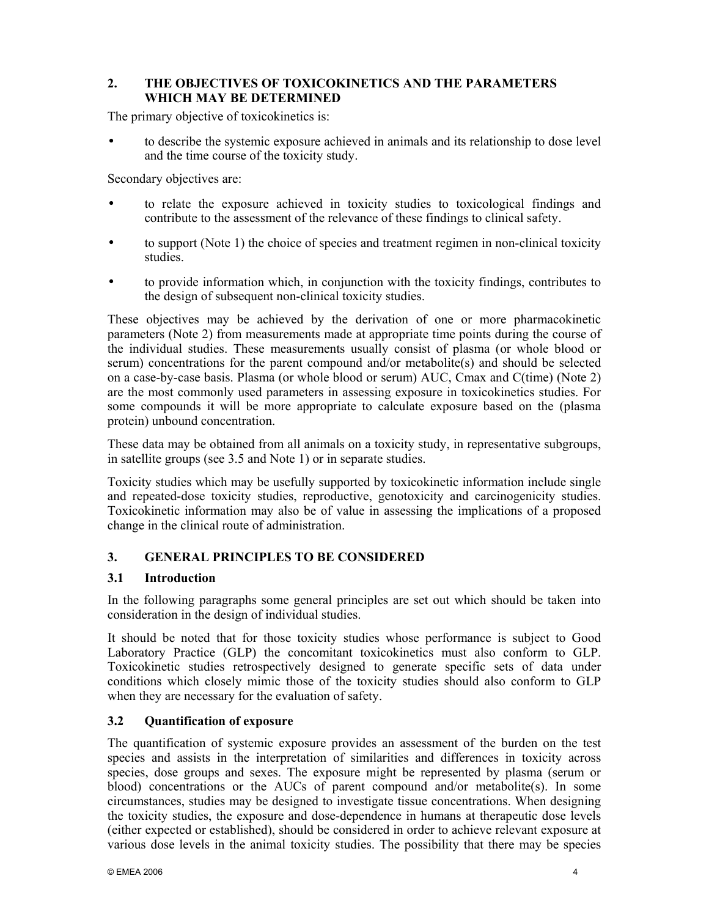## **2. THE OBJECTIVES OF TOXICOKINETICS AND THE PARAMETERS WHICH MAY BE DETERMINED**

The primary objective of toxicokinetics is:

• to describe the systemic exposure achieved in animals and its relationship to dose level and the time course of the toxicity study.

Secondary objectives are:

- to relate the exposure achieved in toxicity studies to toxicological findings and contribute to the assessment of the relevance of these findings to clinical safety.
- to support (Note 1) the choice of species and treatment regimen in non-clinical toxicity studies.
- to provide information which, in conjunction with the toxicity findings, contributes to the design of subsequent non-clinical toxicity studies.

These objectives may be achieved by the derivation of one or more pharmacokinetic parameters (Note 2) from measurements made at appropriate time points during the course of the individual studies. These measurements usually consist of plasma (or whole blood or serum) concentrations for the parent compound and/or metabolite(s) and should be selected on a case-by-case basis. Plasma (or whole blood or serum) AUC, Cmax and C(time) (Note 2) are the most commonly used parameters in assessing exposure in toxicokinetics studies. For some compounds it will be more appropriate to calculate exposure based on the (plasma protein) unbound concentration.

These data may be obtained from all animals on a toxicity study, in representative subgroups, in satellite groups (see 3.5 and Note 1) or in separate studies.

Toxicity studies which may be usefully supported by toxicokinetic information include single and repeated-dose toxicity studies, reproductive, genotoxicity and carcinogenicity studies. Toxicokinetic information may also be of value in assessing the implications of a proposed change in the clinical route of administration.

## **3. GENERAL PRINCIPLES TO BE CONSIDERED**

## **3.1 Introduction**

In the following paragraphs some general principles are set out which should be taken into consideration in the design of individual studies.

It should be noted that for those toxicity studies whose performance is subject to Good Laboratory Practice (GLP) the concomitant toxicokinetics must also conform to GLP. Toxicokinetic studies retrospectively designed to generate specific sets of data under conditions which closely mimic those of the toxicity studies should also conform to GLP when they are necessary for the evaluation of safety.

## **3.2 Quantification of exposure**

The quantification of systemic exposure provides an assessment of the burden on the test species and assists in the interpretation of similarities and differences in toxicity across species, dose groups and sexes. The exposure might be represented by plasma (serum or blood) concentrations or the AUCs of parent compound and/or metabolite(s). In some circumstances, studies may be designed to investigate tissue concentrations. When designing the toxicity studies, the exposure and dose-dependence in humans at therapeutic dose levels (either expected or established), should be considered in order to achieve relevant exposure at various dose levels in the animal toxicity studies. The possibility that there may be species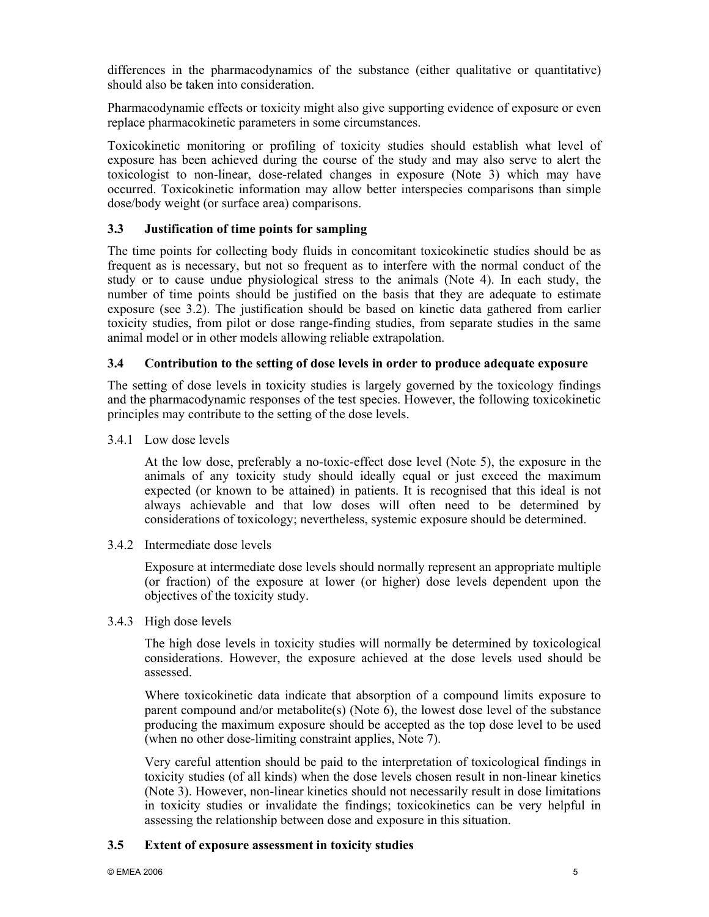differences in the pharmacodynamics of the substance (either qualitative or quantitative) should also be taken into consideration.

Pharmacodynamic effects or toxicity might also give supporting evidence of exposure or even replace pharmacokinetic parameters in some circumstances.

Toxicokinetic monitoring or profiling of toxicity studies should establish what level of exposure has been achieved during the course of the study and may also serve to alert the toxicologist to non-linear, dose-related changes in exposure (Note 3) which may have occurred. Toxicokinetic information may allow better interspecies comparisons than simple dose/body weight (or surface area) comparisons.

### **3.3 Justification of time points for sampling**

The time points for collecting body fluids in concomitant toxicokinetic studies should be as frequent as is necessary, but not so frequent as to interfere with the normal conduct of the study or to cause undue physiological stress to the animals (Note 4). In each study, the number of time points should be justified on the basis that they are adequate to estimate exposure (see 3.2). The justification should be based on kinetic data gathered from earlier toxicity studies, from pilot or dose range-finding studies, from separate studies in the same animal model or in other models allowing reliable extrapolation.

#### **3.4 Contribution to the setting of dose levels in order to produce adequate exposure**

The setting of dose levels in toxicity studies is largely governed by the toxicology findings and the pharmacodynamic responses of the test species. However, the following toxicokinetic principles may contribute to the setting of the dose levels.

3.4.1 Low dose levels

At the low dose, preferably a no-toxic-effect dose level (Note 5), the exposure in the animals of any toxicity study should ideally equal or just exceed the maximum expected (or known to be attained) in patients. It is recognised that this ideal is not always achievable and that low doses will often need to be determined by considerations of toxicology; nevertheless, systemic exposure should be determined.

3.4.2 Intermediate dose levels

Exposure at intermediate dose levels should normally represent an appropriate multiple (or fraction) of the exposure at lower (or higher) dose levels dependent upon the objectives of the toxicity study.

3.4.3 High dose levels

The high dose levels in toxicity studies will normally be determined by toxicological considerations. However, the exposure achieved at the dose levels used should be assessed.

Where toxicokinetic data indicate that absorption of a compound limits exposure to parent compound and/or metabolite(s) (Note 6), the lowest dose level of the substance producing the maximum exposure should be accepted as the top dose level to be used (when no other dose-limiting constraint applies, Note 7).

Very careful attention should be paid to the interpretation of toxicological findings in toxicity studies (of all kinds) when the dose levels chosen result in non-linear kinetics (Note 3). However, non-linear kinetics should not necessarily result in dose limitations in toxicity studies or invalidate the findings; toxicokinetics can be very helpful in assessing the relationship between dose and exposure in this situation.

## **3.5 Extent of exposure assessment in toxicity studies**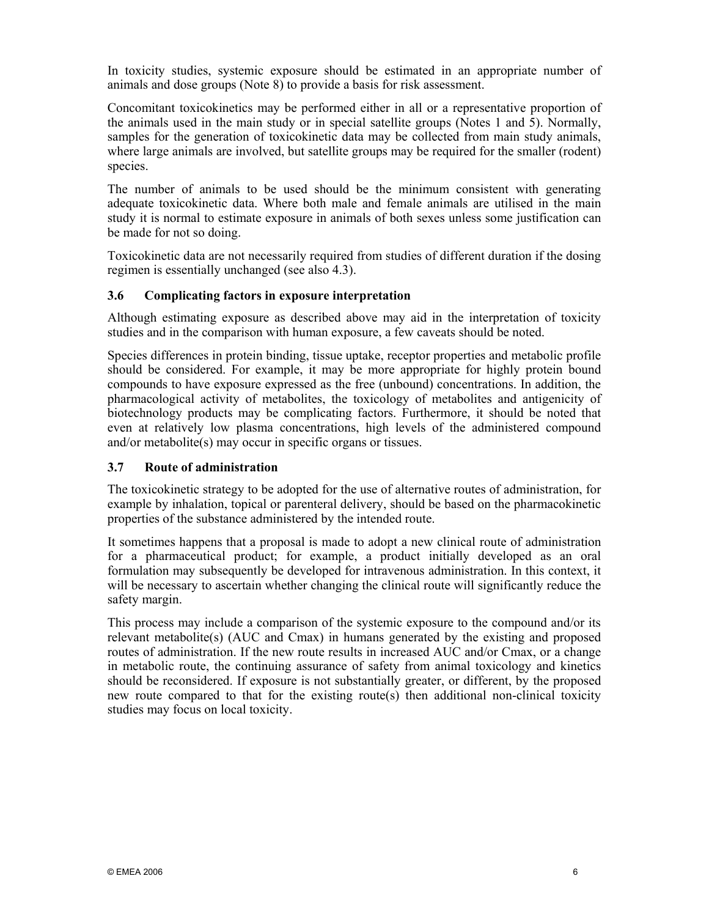In toxicity studies, systemic exposure should be estimated in an appropriate number of animals and dose groups (Note 8) to provide a basis for risk assessment.

Concomitant toxicokinetics may be performed either in all or a representative proportion of the animals used in the main study or in special satellite groups (Notes 1 and 5). Normally, samples for the generation of toxicokinetic data may be collected from main study animals, where large animals are involved, but satellite groups may be required for the smaller (rodent) species.

The number of animals to be used should be the minimum consistent with generating adequate toxicokinetic data. Where both male and female animals are utilised in the main study it is normal to estimate exposure in animals of both sexes unless some justification can be made for not so doing.

Toxicokinetic data are not necessarily required from studies of different duration if the dosing regimen is essentially unchanged (see also 4.3).

#### **3.6 Complicating factors in exposure interpretation**

Although estimating exposure as described above may aid in the interpretation of toxicity studies and in the comparison with human exposure, a few caveats should be noted.

Species differences in protein binding, tissue uptake, receptor properties and metabolic profile should be considered. For example, it may be more appropriate for highly protein bound compounds to have exposure expressed as the free (unbound) concentrations. In addition, the pharmacological activity of metabolites, the toxicology of metabolites and antigenicity of biotechnology products may be complicating factors. Furthermore, it should be noted that even at relatively low plasma concentrations, high levels of the administered compound and/or metabolite(s) may occur in specific organs or tissues.

#### **3.7 Route of administration**

The toxicokinetic strategy to be adopted for the use of alternative routes of administration, for example by inhalation, topical or parenteral delivery, should be based on the pharmacokinetic properties of the substance administered by the intended route.

It sometimes happens that a proposal is made to adopt a new clinical route of administration for a pharmaceutical product; for example, a product initially developed as an oral formulation may subsequently be developed for intravenous administration. In this context, it will be necessary to ascertain whether changing the clinical route will significantly reduce the safety margin.

This process may include a comparison of the systemic exposure to the compound and/or its relevant metabolite(s) (AUC and Cmax) in humans generated by the existing and proposed routes of administration. If the new route results in increased AUC and/or Cmax, or a change in metabolic route, the continuing assurance of safety from animal toxicology and kinetics should be reconsidered. If exposure is not substantially greater, or different, by the proposed new route compared to that for the existing route(s) then additional non-clinical toxicity studies may focus on local toxicity.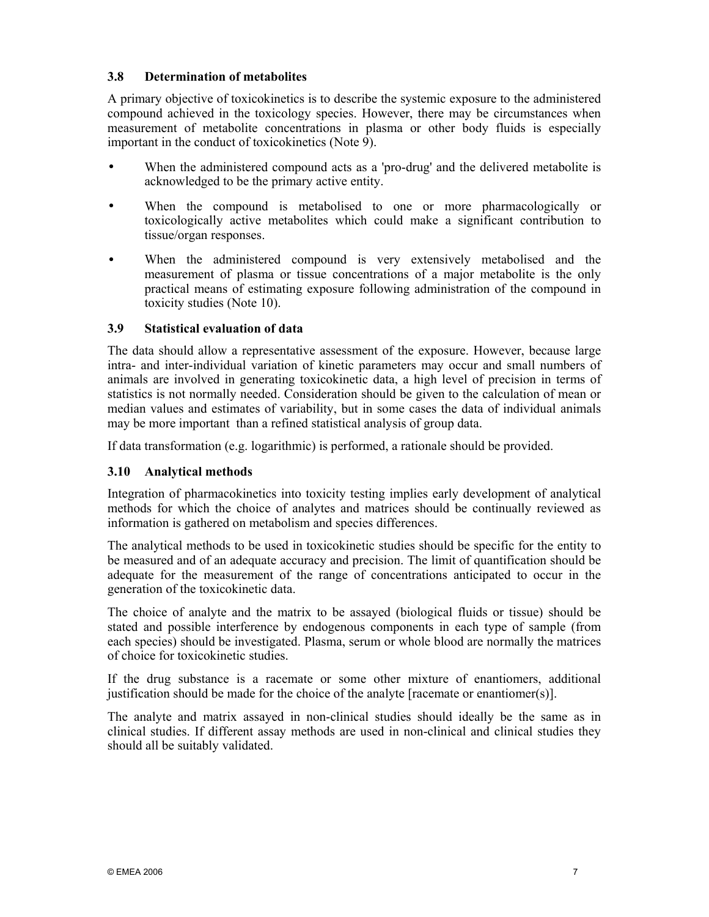## **3.8 Determination of metabolites**

A primary objective of toxicokinetics is to describe the systemic exposure to the administered compound achieved in the toxicology species. However, there may be circumstances when measurement of metabolite concentrations in plasma or other body fluids is especially important in the conduct of toxicokinetics (Note 9).

- When the administered compound acts as a 'pro-drug' and the delivered metabolite is acknowledged to be the primary active entity.
- When the compound is metabolised to one or more pharmacologically or toxicologically active metabolites which could make a significant contribution to tissue/organ responses.
- When the administered compound is very extensively metabolised and the measurement of plasma or tissue concentrations of a major metabolite is the only practical means of estimating exposure following administration of the compound in toxicity studies (Note 10).

#### **3.9 Statistical evaluation of data**

The data should allow a representative assessment of the exposure. However, because large intra- and inter-individual variation of kinetic parameters may occur and small numbers of animals are involved in generating toxicokinetic data, a high level of precision in terms of statistics is not normally needed. Consideration should be given to the calculation of mean or median values and estimates of variability, but in some cases the data of individual animals may be more important than a refined statistical analysis of group data.

If data transformation (e.g. logarithmic) is performed, a rationale should be provided.

#### **3.10 Analytical methods**

Integration of pharmacokinetics into toxicity testing implies early development of analytical methods for which the choice of analytes and matrices should be continually reviewed as information is gathered on metabolism and species differences.

The analytical methods to be used in toxicokinetic studies should be specific for the entity to be measured and of an adequate accuracy and precision. The limit of quantification should be adequate for the measurement of the range of concentrations anticipated to occur in the generation of the toxicokinetic data.

The choice of analyte and the matrix to be assayed (biological fluids or tissue) should be stated and possible interference by endogenous components in each type of sample (from each species) should be investigated. Plasma, serum or whole blood are normally the matrices of choice for toxicokinetic studies.

If the drug substance is a racemate or some other mixture of enantiomers, additional justification should be made for the choice of the analyte [racemate or enantiomer(s)].

The analyte and matrix assayed in non-clinical studies should ideally be the same as in clinical studies. If different assay methods are used in non-clinical and clinical studies they should all be suitably validated.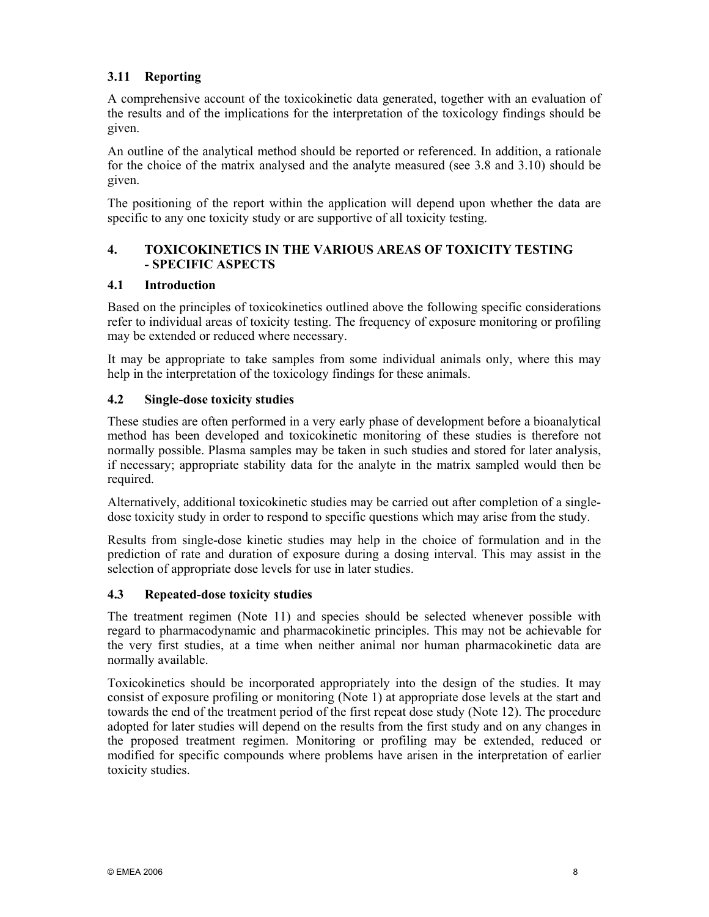# **3.11 Reporting**

A comprehensive account of the toxicokinetic data generated, together with an evaluation of the results and of the implications for the interpretation of the toxicology findings should be given.

An outline of the analytical method should be reported or referenced. In addition, a rationale for the choice of the matrix analysed and the analyte measured (see 3.8 and 3.10) should be given.

The positioning of the report within the application will depend upon whether the data are specific to any one toxicity study or are supportive of all toxicity testing.

### **4. TOXICOKINETICS IN THE VARIOUS AREAS OF TOXICITY TESTING - SPECIFIC ASPECTS**

#### **4.1 Introduction**

Based on the principles of toxicokinetics outlined above the following specific considerations refer to individual areas of toxicity testing. The frequency of exposure monitoring or profiling may be extended or reduced where necessary.

It may be appropriate to take samples from some individual animals only, where this may help in the interpretation of the toxicology findings for these animals.

#### **4.2 Single-dose toxicity studies**

These studies are often performed in a very early phase of development before a bioanalytical method has been developed and toxicokinetic monitoring of these studies is therefore not normally possible. Plasma samples may be taken in such studies and stored for later analysis, if necessary; appropriate stability data for the analyte in the matrix sampled would then be required.

Alternatively, additional toxicokinetic studies may be carried out after completion of a singledose toxicity study in order to respond to specific questions which may arise from the study.

Results from single-dose kinetic studies may help in the choice of formulation and in the prediction of rate and duration of exposure during a dosing interval. This may assist in the selection of appropriate dose levels for use in later studies.

#### **4.3 Repeated-dose toxicity studies**

The treatment regimen (Note 11) and species should be selected whenever possible with regard to pharmacodynamic and pharmacokinetic principles. This may not be achievable for the very first studies, at a time when neither animal nor human pharmacokinetic data are normally available.

Toxicokinetics should be incorporated appropriately into the design of the studies. It may consist of exposure profiling or monitoring (Note 1) at appropriate dose levels at the start and towards the end of the treatment period of the first repeat dose study (Note 12). The procedure adopted for later studies will depend on the results from the first study and on any changes in the proposed treatment regimen. Monitoring or profiling may be extended, reduced or modified for specific compounds where problems have arisen in the interpretation of earlier toxicity studies.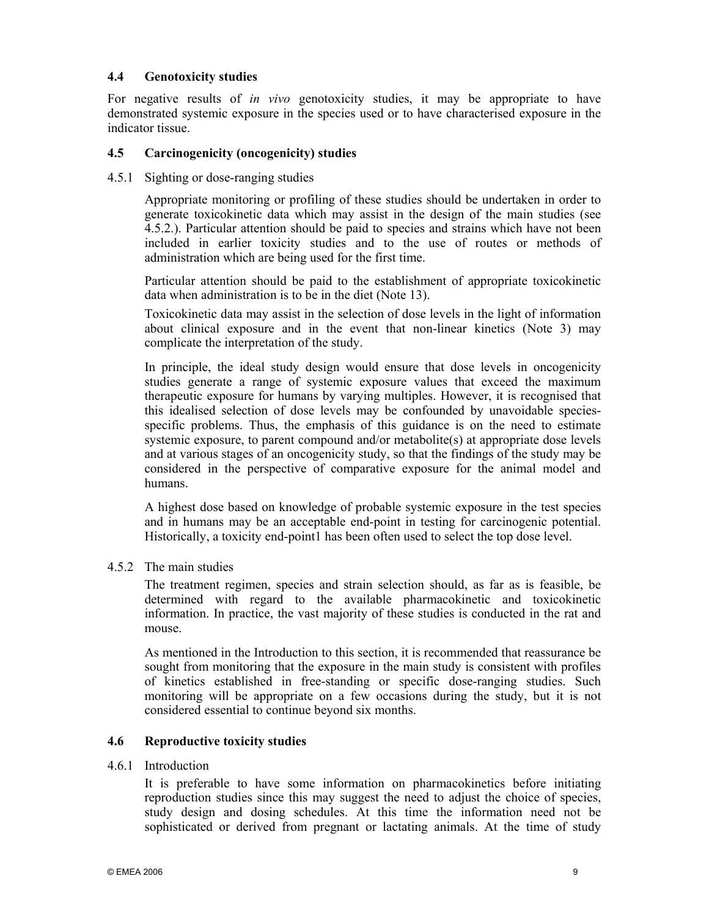### **4.4 Genotoxicity studies**

For negative results of *in vivo* genotoxicity studies, it may be appropriate to have demonstrated systemic exposure in the species used or to have characterised exposure in the indicator tissue.

### **4.5 Carcinogenicity (oncogenicity) studies**

#### 4.5.1 Sighting or dose-ranging studies

Appropriate monitoring or profiling of these studies should be undertaken in order to generate toxicokinetic data which may assist in the design of the main studies (see 4.5.2.). Particular attention should be paid to species and strains which have not been included in earlier toxicity studies and to the use of routes or methods of administration which are being used for the first time.

Particular attention should be paid to the establishment of appropriate toxicokinetic data when administration is to be in the diet (Note 13).

Toxicokinetic data may assist in the selection of dose levels in the light of information about clinical exposure and in the event that non-linear kinetics (Note 3) may complicate the interpretation of the study.

In principle, the ideal study design would ensure that dose levels in oncogenicity studies generate a range of systemic exposure values that exceed the maximum therapeutic exposure for humans by varying multiples. However, it is recognised that this idealised selection of dose levels may be confounded by unavoidable speciesspecific problems. Thus, the emphasis of this guidance is on the need to estimate systemic exposure, to parent compound and/or metabolite(s) at appropriate dose levels and at various stages of an oncogenicity study, so that the findings of the study may be considered in the perspective of comparative exposure for the animal model and humans.

A highest dose based on knowledge of probable systemic exposure in the test species and in humans may be an acceptable end-point in testing for carcinogenic potential. Historically, a toxicity end-point1 has been often used to select the top dose level.

4.5.2 The main studies

The treatment regimen, species and strain selection should, as far as is feasible, be determined with regard to the available pharmacokinetic and toxicokinetic information. In practice, the vast majority of these studies is conducted in the rat and mouse.

As mentioned in the Introduction to this section, it is recommended that reassurance be sought from monitoring that the exposure in the main study is consistent with profiles of kinetics established in free-standing or specific dose-ranging studies. Such monitoring will be appropriate on a few occasions during the study, but it is not considered essential to continue beyond six months.

## **4.6 Reproductive toxicity studies**

## 4.6.1 Introduction

It is preferable to have some information on pharmacokinetics before initiating reproduction studies since this may suggest the need to adjust the choice of species, study design and dosing schedules. At this time the information need not be sophisticated or derived from pregnant or lactating animals. At the time of study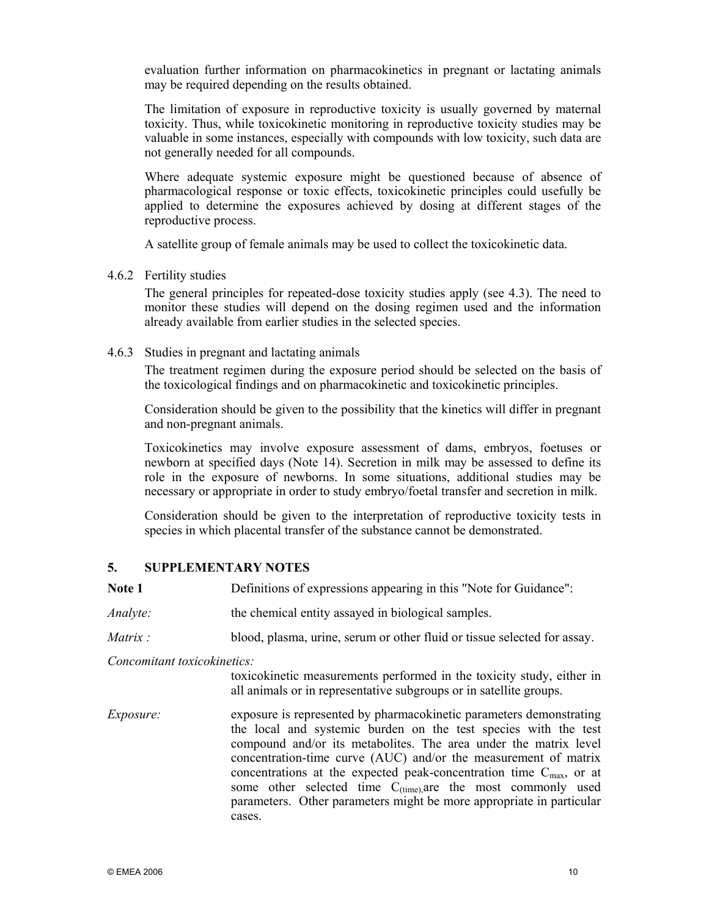evaluation further information on pharmacokinetics in pregnant or lactating animals may be required depending on the results obtained.

The limitation of exposure in reproductive toxicity is usually governed by maternal toxicity. Thus, while toxicokinetic monitoring in reproductive toxicity studies may be valuable in some instances, especially with compounds with low toxicity, such data are not generally needed for all compounds.

Where adequate systemic exposure might be questioned because of absence of pharmacological response or toxic effects, toxicokinetic principles could usefully be applied to determine the exposures achieved by dosing at different stages of the reproductive process.

A satellite group of female animals may be used to collect the toxicokinetic data.

4.6.2 Fertility studies

The general principles for repeated-dose toxicity studies apply (see 4.3). The need to monitor these studies will depend on the dosing regimen used and the information already available from earlier studies in the selected species.

4.6.3 Studies in pregnant and lactating animals

The treatment regimen during the exposure period should be selected on the basis of the toxicological findings and on pharmacokinetic and toxicokinetic principles.

Consideration should be given to the possibility that the kinetics will differ in pregnant and non-pregnant animals.

Toxicokinetics may involve exposure assessment of dams, embryos, foetuses or newborn at specified days (Note 14). Secretion in milk may be assessed to define its role in the exposure of newborns. In some situations, additional studies may be necessary or appropriate in order to study embryo/foetal transfer and secretion in milk.

Consideration should be given to the interpretation of reproductive toxicity tests in species in which placental transfer of the substance cannot be demonstrated.

#### **5. SUPPLEMENTARY NOTES**

| Note 1 | Definitions of expressions appearing in this "Note for Guidance". |  |  |  |
|--------|-------------------------------------------------------------------|--|--|--|
|        |                                                                   |  |  |  |

- *Analyte:* the chemical entity assayed in biological samples.
- *Matrix :* blood, plasma, urine, serum or other fluid or tissue selected for assay.

*Concomitant toxicokinetics:*

 toxicokinetic measurements performed in the toxicity study, either in all animals or in representative subgroups or in satellite groups.

*Exposure:* exposure is represented by pharmacokinetic parameters demonstrating the local and systemic burden on the test species with the test compound and/or its metabolites. The area under the matrix level concentration-time curve (AUC) and/or the measurement of matrix concentrations at the expected peak-concentration time  $C_{\text{max}}$ , or at some other selected time  $C_{(time)}$  are the most commonly used parameters. Other parameters might be more appropriate in particular cases.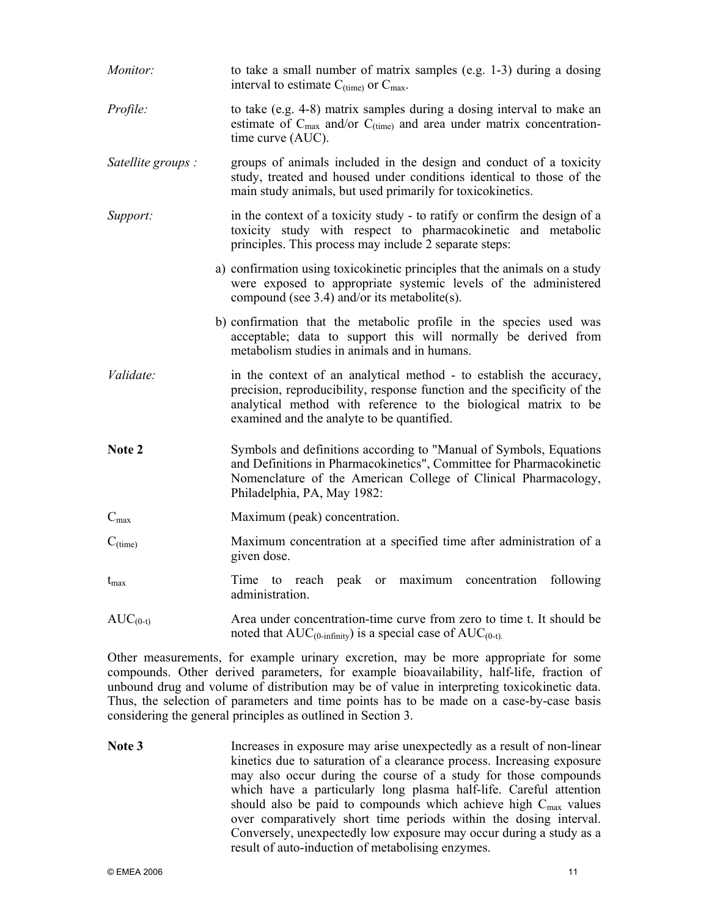| Monitor:           | to take a small number of matrix samples (e.g. 1-3) during a dosing<br>interval to estimate $C_{\text{(time)}}$ or $C_{\text{max}}$ .                                                                                                                            |
|--------------------|------------------------------------------------------------------------------------------------------------------------------------------------------------------------------------------------------------------------------------------------------------------|
| Profile:           | to take (e.g. 4-8) matrix samples during a dosing interval to make an<br>estimate of $C_{\text{max}}$ and/or $C_{\text{(time)}}$ and area under matrix concentration-<br>time curve (AUC).                                                                       |
| Satellite groups : | groups of animals included in the design and conduct of a toxicity<br>study, treated and housed under conditions identical to those of the<br>main study animals, but used primarily for toxicokinetics.                                                         |
| Support:           | in the context of a toxicity study - to ratify or confirm the design of a<br>toxicity study with respect to pharmacokinetic and metabolic<br>principles. This process may include 2 separate steps:                                                              |
|                    | a) confirmation using toxicokinetic principles that the animals on a study<br>were exposed to appropriate systemic levels of the administered<br>compound (see $3.4$ ) and/or its metabolite(s).                                                                 |
|                    | b) confirmation that the metabolic profile in the species used was<br>acceptable; data to support this will normally be derived from<br>metabolism studies in animals and in humans.                                                                             |
| Validate:          | in the context of an analytical method - to establish the accuracy,<br>precision, reproducibility, response function and the specificity of the<br>analytical method with reference to the biological matrix to be<br>examined and the analyte to be quantified. |
| Note 2             | Symbols and definitions according to "Manual of Symbols, Equations<br>and Definitions in Pharmacokinetics", Committee for Pharmacokinetic<br>Nomenclature of the American College of Clinical Pharmacology,<br>Philadelphia, PA, May 1982:                       |
| $C_{max}$          | Maximum (peak) concentration.                                                                                                                                                                                                                                    |
| $C_{(time)}$       | Maximum concentration at a specified time after administration of a<br>given dose.                                                                                                                                                                               |
| $t_{\rm max}$      | peak or maximum<br>concentration<br>following<br>Time to reach<br>administration.                                                                                                                                                                                |
| $AUC_{(0-t)}$      | Area under concentration-time curve from zero to time t. It should be<br>noted that $AUC_{(0\text{-infinity})}$ is a special case of $AUC_{(0-t)}$ .                                                                                                             |
|                    | Other measurements, for example urinary excretion, may be more appropriate for some                                                                                                                                                                              |

compounds. Other derived parameters, for example bioavailability, half-life, fraction of unbound drug and volume of distribution may be of value in interpreting toxicokinetic data. Thus, the selection of parameters and time points has to be made on a case-by-case basis considering the general principles as outlined in Section 3.

Note 3 **Increases in exposure may arise unexpectedly as a result of non-linear** kinetics due to saturation of a clearance process. Increasing exposure may also occur during the course of a study for those compounds which have a particularly long plasma half-life. Careful attention should also be paid to compounds which achieve high  $C_{\text{max}}$  values over comparatively short time periods within the dosing interval. Conversely, unexpectedly low exposure may occur during a study as a result of auto-induction of metabolising enzymes.